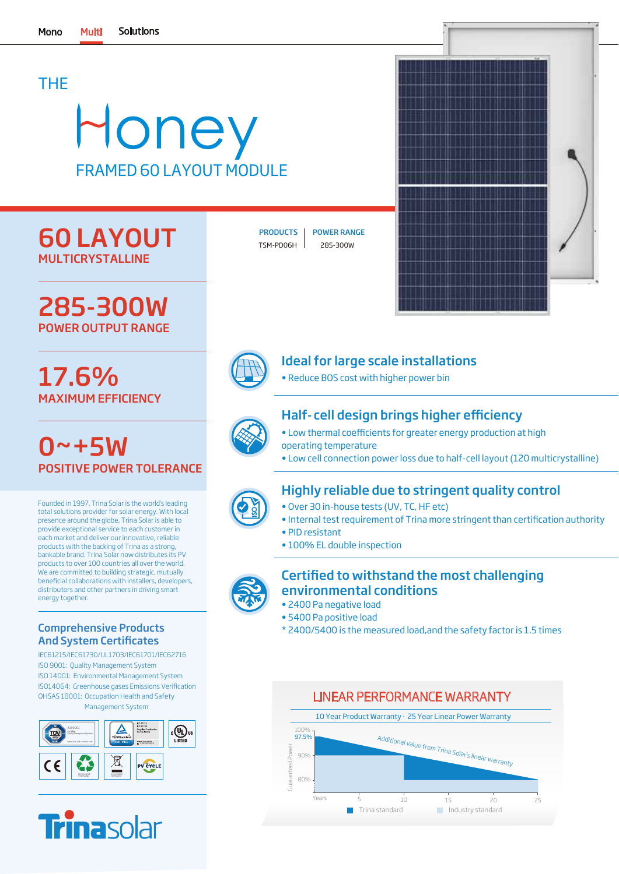## THE

# Honey FRAMED 60 LAYOUT MODULE

# 60 LAYOUT MULTICRYSTALLINE

285-300W POWER OUTPUT RANGE

# 17.6% MAXIMUM EFFICIENCY

 $0 - +5W$ POSITIVE POWER TOLERANCE

Founded in 1997, Trina Solar is the world's leading total solutions provider for solar energy. With local presence around the globe, Trina Solar is able to provide exceptional service to each customer in each market and deliver our innovative, reliable products with the backing of Trina as a strong, bankable brand. Trina Solar now distributes its PV products to over 100 countries all over the world. We are committed to building strategic, mutually beneficial collaborations with installers, developers, distributors and other partners in driving smart energy together.

#### Comprehensive Products And System Certificates

IEC61215/IEC61730/UL1703/IEC61701/IEC62716 ISO 9001: Quality Management System ISO 14001: Environmental Management System OHSAS 18001: Occupation Health and Safety Management System ISO14064: Greenhouse gases Emissions Verification





TSM-PD06H 285-300W

PRODUCTS | POWER RANGE





### Ideal for large scale installations

• Reduce BOS cost with higher power bin

### Half- cell design brings higher efficiency

- Low thermal coefficients for greater energy production at high operating temperature
- Low cell connection power loss due to half-cell layout (120 multicrystalline)



### Highly reliable due to stringent quality control

- Over 30 in-house tests (UV, TC, HF etc)
- Internal test requirement of Trina more stringent than certification authority
- PID resistant
- 100% EL double inspection

#### Certified to withstand the most challenging environmental conditions

- 2400 Pa negative load
- 5400 Pa positive load
- \* 2400/5400 is the measured load,and the safety factor is 1.5 times